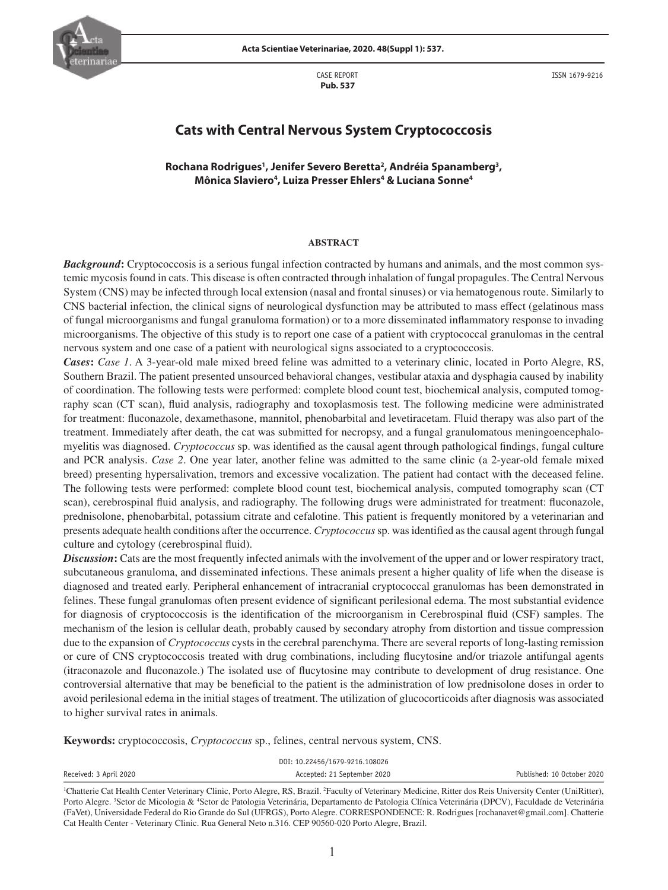

CASE REPORT  **Pub. 537**

ISSN 1679-9216

# **Cats with Central Nervous System Cryptococcosis**

**Rochana Rodrigues1 , Jenifer Severo Beretta2 , Andréia Spanamberg3 , Mônica Slaviero4 , Luiza Presser Ehlers4 & Luciana Sonne4**

#### **ABSTRACT**

*Background***:** Cryptococcosis is a serious fungal infection contracted by humans and animals, and the most common systemic mycosis found in cats. This disease is often contracted through inhalation of fungal propagules. The Central Nervous System (CNS) may be infected through local extension (nasal and frontal sinuses) or via hematogenous route. Similarly to CNS bacterial infection, the clinical signs of neurological dysfunction may be attributed to mass effect (gelatinous mass of fungal microorganisms and fungal granuloma formation) or to a more disseminated inflammatory response to invading microorganisms. The objective of this study is to report one case of a patient with cryptococcal granulomas in the central nervous system and one case of a patient with neurological signs associated to a cryptococcosis.

*Cases***:** *Case 1*. A 3-year-old male mixed breed feline was admitted to a veterinary clinic, located in Porto Alegre, RS, Southern Brazil. The patient presented unsourced behavioral changes, vestibular ataxia and dysphagia caused by inability of coordination. The following tests were performed: complete blood count test, biochemical analysis, computed tomography scan (CT scan), fluid analysis, radiography and toxoplasmosis test. The following medicine were administrated for treatment: fluconazole, dexamethasone, mannitol, phenobarbital and levetiracetam. Fluid therapy was also part of the treatment. Immediately after death, the cat was submitted for necropsy, and a fungal granulomatous meningoencephalomyelitis was diagnosed. *Cryptococcus* sp. was identified as the causal agent through pathological findings, fungal culture and PCR analysis. *Case 2*. One year later, another feline was admitted to the same clinic (a 2-year-old female mixed breed) presenting hypersalivation, tremors and excessive vocalization. The patient had contact with the deceased feline. The following tests were performed: complete blood count test, biochemical analysis, computed tomography scan (CT scan), cerebrospinal fluid analysis, and radiography. The following drugs were administrated for treatment: fluconazole, prednisolone, phenobarbital, potassium citrate and cefalotine. This patient is frequently monitored by a veterinarian and presents adequate health conditions after the occurrence. *Cryptococcus* sp. was identified as the causal agent through fungal culture and cytology (cerebrospinal fluid).

*Discussion***:** Cats are the most frequently infected animals with the involvement of the upper and or lower respiratory tract, subcutaneous granuloma, and disseminated infections. These animals present a higher quality of life when the disease is diagnosed and treated early. Peripheral enhancement of intracranial cryptococcal granulomas has been demonstrated in felines. These fungal granulomas often present evidence of significant perilesional edema. The most substantial evidence for diagnosis of cryptococcosis is the identification of the microorganism in Cerebrospinal fluid (CSF) samples. The mechanism of the lesion is cellular death, probably caused by secondary atrophy from distortion and tissue compression due to the expansion of *Cryptococcus* cysts in the cerebral parenchyma. There are several reports of long-lasting remission or cure of CNS cryptococcosis treated with drug combinations, including flucytosine and/or triazole antifungal agents (itraconazole and fluconazole.) The isolated use of flucytosine may contribute to development of drug resistance. One controversial alternative that may be beneficial to the patient is the administration of low prednisolone doses in order to avoid perilesional edema in the initial stages of treatment. The utilization of glucocorticoids after diagnosis was associated to higher survival rates in animals.

**Keywords:** cryptococcosis, *Cryptococcus* sp., felines, central nervous system, CNS.

| DOI: 10.22456/1679-9216.108026 |                             |                            |
|--------------------------------|-----------------------------|----------------------------|
| Received: 3 April 2020         | Accepted: 21 September 2020 | Published: 10 October 2020 |

<sup>&</sup>lt;sup>1</sup>Chatterie Cat Health Center Veterinary Clinic, Porto Alegre, RS, Brazil. <sup>2</sup>Faculty of Veterinary Medicine, Ritter dos Reis University Center (UniRitter), Porto Alegre. <sup>3</sup>Setor de Micologia & <sup>4</sup>Setor de Patologia Veterinária, Departamento de Patologia Clínica Veterinária (DPCV), Faculdade de Veterinária (FaVet), Universidade Federal do Rio Grande do Sul (UFRGS), Porto Alegre. CORRESPONDENCE: R. Rodrigues [rochanavet@gmail.com]. Chatterie Cat Health Center - Veterinary Clinic. Rua General Neto n.316. CEP 90560-020 Porto Alegre, Brazil.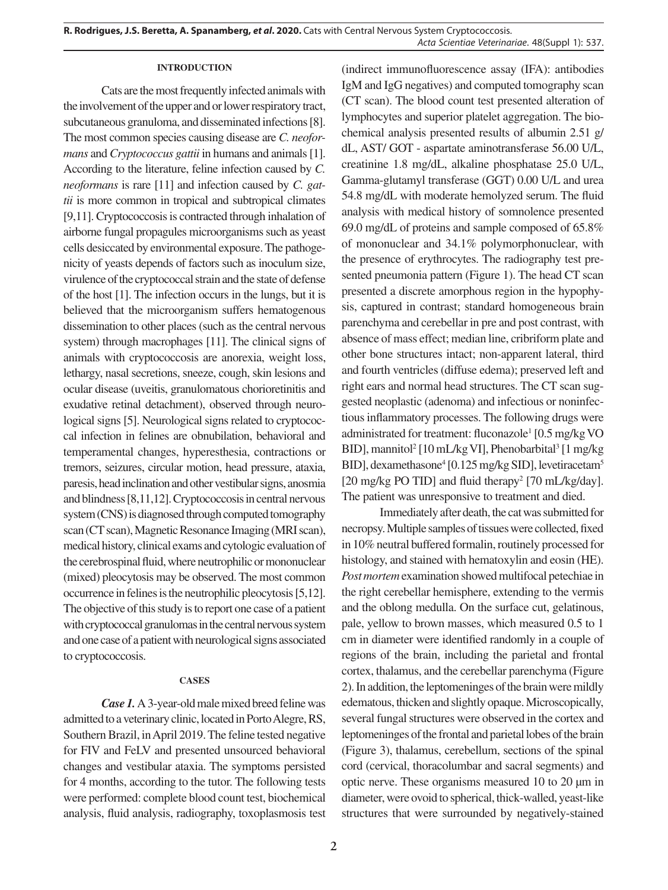#### **INTRODUCTION**

Cats are the most frequently infected animals with the involvement of the upper and or lower respiratory tract, subcutaneous granuloma, and disseminated infections [8]. The most common species causing disease are *C. neoformans* and *Cryptococcus gattii* in humans and animals [1]. According to the literature, feline infection caused by *C. neoformans* is rare [11] and infection caused by *C. gattii* is more common in tropical and subtropical climates [9,11]. Cryptococcosis is contracted through inhalation of airborne fungal propagules microorganisms such as yeast cells desiccated by environmental exposure. The pathogenicity of yeasts depends of factors such as inoculum size, virulence of the cryptococcal strain and the state of defense of the host [1]. The infection occurs in the lungs, but it is believed that the microorganism suffers hematogenous dissemination to other places (such as the central nervous system) through macrophages [11]. The clinical signs of animals with cryptococcosis are anorexia, weight loss, lethargy, nasal secretions, sneeze, cough, skin lesions and ocular disease (uveitis, granulomatous chorioretinitis and exudative retinal detachment), observed through neurological signs [5]. Neurological signs related to cryptococcal infection in felines are obnubilation, behavioral and temperamental changes, hyperesthesia, contractions or tremors, seizures, circular motion, head pressure, ataxia, paresis, head inclination and other vestibular signs, anosmia and blindness [8,11,12]. Cryptococcosis in central nervous system (CNS) is diagnosed through computed tomography scan (CT scan), Magnetic Resonance Imaging (MRI scan), medical history, clinical exams and cytologic evaluation of the cerebrospinal fluid, where neutrophilic or mononuclear (mixed) pleocytosis may be observed. The most common occurrence in felines is the neutrophilic pleocytosis [5,12]. The objective of this study is to report one case of a patient with cryptococcal granulomas in the central nervous system and one case of a patient with neurological signs associated to cryptococcosis.

### **CASES**

*Case 1.* A 3-year-old male mixed breed feline was admitted to a veterinary clinic, located in Porto Alegre, RS, Southern Brazil, in April 2019. The feline tested negative for FIV and FeLV and presented unsourced behavioral changes and vestibular ataxia. The symptoms persisted for 4 months, according to the tutor. The following tests were performed: complete blood count test, biochemical analysis, fluid analysis, radiography, toxoplasmosis test (indirect immunofluorescence assay (IFA): antibodies IgM and IgG negatives) and computed tomography scan (CT scan). The blood count test presented alteration of lymphocytes and superior platelet aggregation. The biochemical analysis presented results of albumin 2.51 g/ dL, AST/ GOT - aspartate aminotransferase 56.00 U/L, creatinine 1.8 mg/dL, alkaline phosphatase 25.0 U/L, Gamma-glutamyl transferase (GGT) 0.00 U/L and urea 54.8 mg/dL with moderate hemolyzed serum. The fluid analysis with medical history of somnolence presented 69.0 mg/dL of proteins and sample composed of 65.8% of mononuclear and 34.1% polymorphonuclear, with the presence of erythrocytes. The radiography test presented pneumonia pattern (Figure 1). The head CT scan presented a discrete amorphous region in the hypophysis, captured in contrast; standard homogeneous brain parenchyma and cerebellar in pre and post contrast, with absence of mass effect; median line, cribriform plate and other bone structures intact; non-apparent lateral, third and fourth ventricles (diffuse edema); preserved left and right ears and normal head structures. The CT scan suggested neoplastic (adenoma) and infectious or noninfectious inflammatory processes. The following drugs were administrated for treatment: fluconazole<sup>1</sup> [0.5 mg/kg VO BID], mannitol<sup>2</sup> [10 mL/kg VI], Phenobarbital<sup>3</sup> [1 mg/kg BID], dexamethasone<sup>4</sup> [0.125 mg/kg SID], levetiracetam<sup>5</sup> [20 mg/kg PO TID] and fluid therapy<sup>2</sup> [70 mL/kg/day]. The patient was unresponsive to treatment and died.

Immediately after death, the cat was submitted for necropsy. Multiple samples of tissues were collected, fixed in 10% neutral buffered formalin, routinely processed for histology, and stained with hematoxylin and eosin (HE). *Post mortem* examination showed multifocal petechiae in the right cerebellar hemisphere, extending to the vermis and the oblong medulla. On the surface cut, gelatinous, pale, yellow to brown masses, which measured 0.5 to 1 cm in diameter were identified randomly in a couple of regions of the brain, including the parietal and frontal cortex, thalamus, and the cerebellar parenchyma (Figure 2). In addition, the leptomeninges of the brain were mildly edematous, thicken and slightly opaque. Microscopically, several fungal structures were observed in the cortex and leptomeninges of the frontal and parietal lobes of the brain (Figure 3), thalamus, cerebellum, sections of the spinal cord (cervical, thoracolumbar and sacral segments) and optic nerve. These organisms measured 10 to 20 µm in diameter, were ovoid to spherical, thick-walled, yeast-like structures that were surrounded by negatively-stained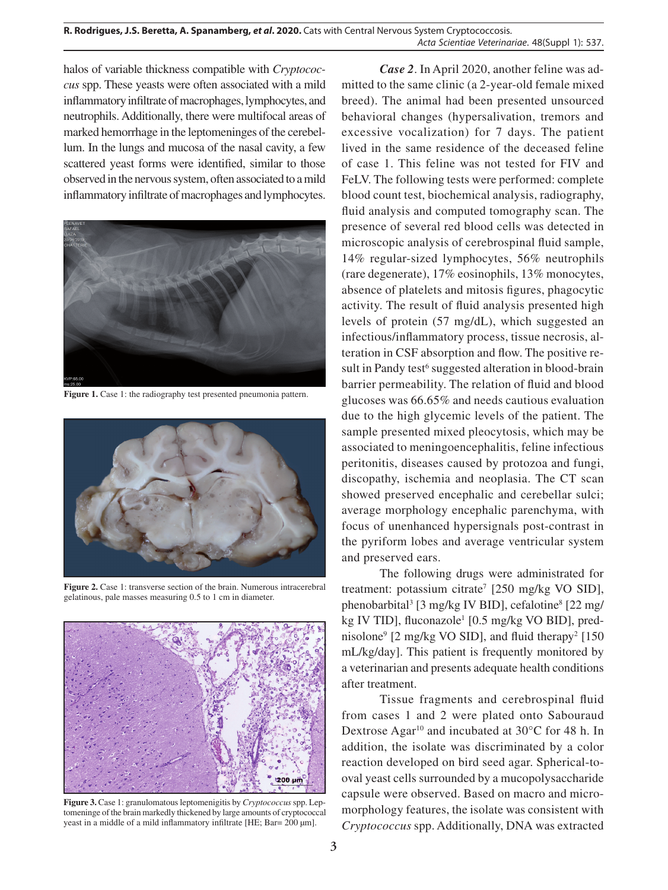halos of variable thickness compatible with *Cryptococcus* spp. These yeasts were often associated with a mild inflammatory infiltrate of macrophages, lymphocytes, and neutrophils. Additionally, there were multifocal areas of marked hemorrhage in the leptomeninges of the cerebellum. In the lungs and mucosa of the nasal cavity, a few scattered yeast forms were identified, similar to those observed in the nervous system, often associated to a mild inflammatory infiltrate of macrophages and lymphocytes.



**Figure 1.** Case 1: the radiography test presented pneumonia pattern.



**Figure 2.** Case 1: transverse section of the brain. Numerous intracerebral gelatinous, pale masses measuring 0.5 to 1 cm in diameter.



**Figure 3.** Case 1: granulomatous leptomenigitis by *Cryptococcus* spp. Leptomeninge of the brain markedly thickened by large amounts of cryptococcal yeast in a middle of a mild inflammatory infiltrate [HE; Bar= 200 µm].

*Case 2*. In April 2020, another feline was admitted to the same clinic (a 2-year-old female mixed breed). The animal had been presented unsourced behavioral changes (hypersalivation, tremors and excessive vocalization) for 7 days. The patient lived in the same residence of the deceased feline of case 1. This feline was not tested for FIV and FeLV. The following tests were performed: complete blood count test, biochemical analysis, radiography, fluid analysis and computed tomography scan. The presence of several red blood cells was detected in microscopic analysis of cerebrospinal fluid sample, 14% regular-sized lymphocytes, 56% neutrophils (rare degenerate), 17% eosinophils, 13% monocytes, absence of platelets and mitosis figures, phagocytic activity. The result of fluid analysis presented high levels of protein (57 mg/dL), which suggested an infectious/inflammatory process, tissue necrosis, alteration in CSF absorption and flow. The positive result in Pandy test<sup>6</sup> suggested alteration in blood-brain barrier permeability. The relation of fluid and blood glucoses was 66.65% and needs cautious evaluation due to the high glycemic levels of the patient. The sample presented mixed pleocytosis, which may be associated to meningoencephalitis, feline infectious peritonitis, diseases caused by protozoa and fungi, discopathy, ischemia and neoplasia. The CT scan showed preserved encephalic and cerebellar sulci; average morphology encephalic parenchyma, with focus of unenhanced hypersignals post-contrast in the pyriform lobes and average ventricular system and preserved ears.

The following drugs were administrated for treatment: potassium citrate<sup>7</sup> [250 mg/kg VO SID], phenobarbital<sup>3</sup> [3 mg/kg IV BID], cefalotine<sup>8</sup> [22 mg/ kg IV TID], fluconazole<sup>1</sup> [0.5 mg/kg VO BID], prednisolone<sup>9</sup> [2 mg/kg VO SID], and fluid therapy<sup>2</sup> [150] mL/kg/day]. This patient is frequently monitored by a veterinarian and presents adequate health conditions after treatment.

Tissue fragments and cerebrospinal fluid from cases 1 and 2 were plated onto Sabouraud Dextrose Agar<sup>10</sup> and incubated at 30°C for 48 h. In addition, the isolate was discriminated by a color reaction developed on bird seed agar. Spherical-tooval yeast cells surrounded by a mucopolysaccharide capsule were observed. Based on macro and micromorphology features, the isolate was consistent with *Cryptococcus* spp. Additionally, DNA was extracted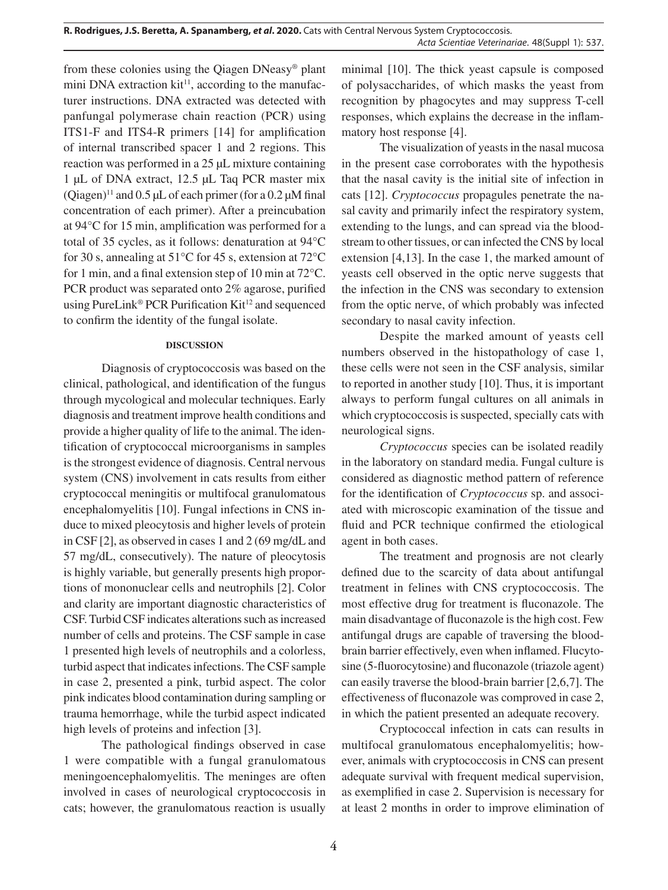from these colonies using the Qiagen DNeasy® plant mini DNA extraction  $kit^{11}$ , according to the manufacturer instructions. DNA extracted was detected with panfungal polymerase chain reaction (PCR) using ITS1-F and ITS4-R primers [14] for amplification of internal transcribed spacer 1 and 2 regions. This reaction was performed in a 25 µL mixture containing 1 µL of DNA extract, 12.5 µL Taq PCR master mix (Qiagen)<sup>11</sup> and 0.5 µL of each primer (for a 0.2 µM final concentration of each primer). After a preincubation at 94°C for 15 min, amplification was performed for a total of 35 cycles, as it follows: denaturation at 94°C for 30 s, annealing at 51°C for 45 s, extension at 72°C for 1 min, and a final extension step of 10 min at 72°C. PCR product was separated onto 2% agarose, purified using PureLink® PCR Purification Kit<sup>12</sup> and sequenced to confirm the identity of the fungal isolate.

# **DISCUSSION**

Diagnosis of cryptococcosis was based on the clinical, pathological, and identification of the fungus through mycological and molecular techniques. Early diagnosis and treatment improve health conditions and provide a higher quality of life to the animal. The identification of cryptococcal microorganisms in samples is the strongest evidence of diagnosis. Central nervous system (CNS) involvement in cats results from either cryptococcal meningitis or multifocal granulomatous encephalomyelitis [10]. Fungal infections in CNS induce to mixed pleocytosis and higher levels of protein in CSF [2], as observed in cases 1 and 2 (69 mg/dL and 57 mg/dL, consecutively). The nature of pleocytosis is highly variable, but generally presents high proportions of mononuclear cells and neutrophils [2]. Color and clarity are important diagnostic characteristics of CSF. Turbid CSF indicates alterations such as increased number of cells and proteins. The CSF sample in case 1 presented high levels of neutrophils and a colorless, turbid aspect that indicates infections. The CSF sample in case 2, presented a pink, turbid aspect. The color pink indicates blood contamination during sampling or trauma hemorrhage, while the turbid aspect indicated high levels of proteins and infection [3].

The pathological findings observed in case 1 were compatible with a fungal granulomatous meningoencephalomyelitis. The meninges are often involved in cases of neurological cryptococcosis in cats; however, the granulomatous reaction is usually minimal [10]. The thick yeast capsule is composed of polysaccharides, of which masks the yeast from recognition by phagocytes and may suppress T-cell responses, which explains the decrease in the inflammatory host response [4].

The visualization of yeasts in the nasal mucosa in the present case corroborates with the hypothesis that the nasal cavity is the initial site of infection in cats [12]. *Cryptococcus* propagules penetrate the nasal cavity and primarily infect the respiratory system, extending to the lungs, and can spread via the bloodstream to other tissues, or can infected the CNS by local extension [4,13]. In the case 1, the marked amount of yeasts cell observed in the optic nerve suggests that the infection in the CNS was secondary to extension from the optic nerve, of which probably was infected secondary to nasal cavity infection.

Despite the marked amount of yeasts cell numbers observed in the histopathology of case 1, these cells were not seen in the CSF analysis, similar to reported in another study [10]. Thus, it is important always to perform fungal cultures on all animals in which cryptococcosis is suspected, specially cats with neurological signs.

*Cryptococcus* species can be isolated readily in the laboratory on standard media. Fungal culture is considered as diagnostic method pattern of reference for the identification of *Cryptococcus* sp. and associated with microscopic examination of the tissue and fluid and PCR technique confirmed the etiological agent in both cases.

The treatment and prognosis are not clearly defined due to the scarcity of data about antifungal treatment in felines with CNS cryptococcosis. The most effective drug for treatment is fluconazole. The main disadvantage of fluconazole is the high cost. Few antifungal drugs are capable of traversing the bloodbrain barrier effectively, even when inflamed. Flucytosine (5-fluorocytosine) and fluconazole (triazole agent) can easily traverse the blood-brain barrier [2,6,7]. The effectiveness of fluconazole was comproved in case 2, in which the patient presented an adequate recovery.

Cryptococcal infection in cats can results in multifocal granulomatous encephalomyelitis; however, animals with cryptococcosis in CNS can present adequate survival with frequent medical supervision, as exemplified in case 2. Supervision is necessary for at least 2 months in order to improve elimination of